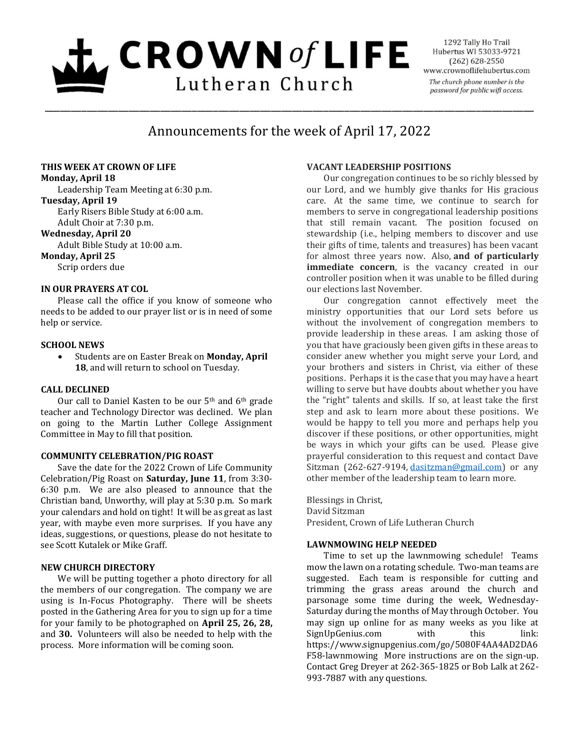# $\mathbf{L}$  CROWN of LIFE Lutheran Church

1292 Tally Ho Trail Hubertus WI 53033-9721  $(262) 628 - 2550$ www.crownoflifehubertus.com The church phone number is the password for public wifi access.

## Announcements for the week of April 17, 2022

\_\_\_\_\_\_\_\_\_\_\_\_\_\_\_\_\_\_\_\_\_\_\_\_\_\_\_\_\_\_\_\_\_\_\_\_\_\_\_\_\_\_\_\_\_\_\_\_\_\_\_\_\_\_\_\_\_\_\_\_\_\_\_\_\_\_\_\_\_\_\_\_\_\_\_\_\_\_\_\_\_\_\_\_\_\_\_\_\_\_\_\_\_

#### **THIS WEEK AT CROWN OF LIFE**

**Monday, April 18**

Leadership Team Meeting at 6:30 p.m.

#### **Tuesday, April 19**

Early Risers Bible Study at 6:00 a.m.

Adult Choir at 7:30 p.m.

#### **Wednesday, April 20**

Adult Bible Study at 10:00 a.m.

### **Monday, April 25**

Scrip orders due

#### **IN OUR PRAYERS AT COL**

Please call the office if you know of someone who needs to be added to our prayer list or is in need of some help or service.

#### **SCHOOL NEWS**

 Students are on Easter Break on **Monday, April 18**, and will return to school on Tuesday.

#### **CALL DECLINED**

Our call to Daniel Kasten to be our 5<sup>th</sup> and 6<sup>th</sup> grade teacher and Technology Director was declined. We plan on going to the Martin Luther College Assignment Committee in May to fill that position.

#### **COMMUNITY CELEBRATION/PIG ROAST**

Save the date for the 2022 Crown of Life Community Celebration/Pig Roast on **Saturday, June 11**, from 3:30- 6:30 p.m. We are also pleased to announce that the Christian band, Unworthy, will play at 5:30 p.m. So mark your calendars and hold on tight! It will be as great as last year, with maybe even more surprises. If you have any ideas, suggestions, or questions, please do not hesitate to see Scott Kutalek or Mike Graff.

#### **NEW CHURCH DIRECTORY**

We will be putting together a photo directory for all the members of our congregation. The company we are using is In-Focus Photography. There will be sheets posted in the Gathering Area for you to sign up for a time for your family to be photographed on **April 25, 26, 28,** and **30.** Volunteers will also be needed to help with the process. More information will be coming soon.

#### **VACANT LEADERSHIP POSITIONS**

Our congregation continues to be so richly blessed by our Lord, and we humbly give thanks for His gracious care. At the same time, we continue to search for members to serve in congregational leadership positions that still remain vacant. The position focused on stewardship (i.e., helping members to discover and use their gifts of time, talents and treasures) has been vacant for almost three years now. Also, **and of particularly immediate concern**, is the vacancy created in our controller position when it was unable to be filled during our elections last November.

Our congregation cannot effectively meet the ministry opportunities that our Lord sets before us without the involvement of congregation members to provide leadership in these areas. I am asking those of you that have graciously been given gifts in these areas to consider anew whether you might serve your Lord, and your brothers and sisters in Christ, via either of these positions. Perhaps it is the case that you may have a heart willing to serve but have doubts about whether you have the "right" talents and skills. If so, at least take the first step and ask to learn more about these positions. We would be happy to tell you more and perhaps help you discover if these positions, or other opportunities, might be ways in which your gifts can be used. Please give prayerful consideration to this request and contact Dave Sitzman (262-627-9194, [dasitzman@gmail.com\)](mailto:dasitzman@gmail.com) or any other member of the leadership team to learn more.

Blessings in Christ, David Sitzman President, Crown of Life Lutheran Church

#### **LAWNMOWING HELP NEEDED**

Time to set up the lawnmowing schedule! Teams mow the lawn on a rotating schedule. Two-man teams are suggested. Each team is responsible for cutting and trimming the grass areas around the church and parsonage some time during the week, Wednesday-Saturday during the months of May through October. You may sign up online for as many weeks as you like at SignUpGenius.com with this link: https://www.signupgenius.com/go/5080F4AA4AD2DA6 F58-lawnmowing More instructions are on the sign-up. Contact Greg Dreyer at 262-365-1825 or Bob Lalk at 262- 993-7887 with any questions.